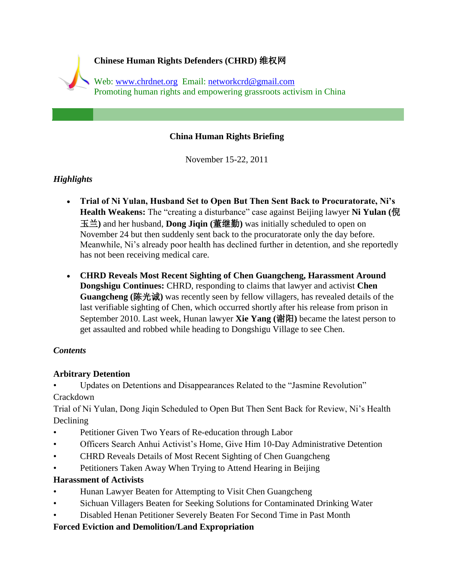

## **China Human Rights Briefing**

November 15-22, 2011

# *Highlights*

- **Trial of Ni Yulan, Husband Set to Open But Then Sent Back to Procuratorate, Ni's Health Weakens:** The "creating a disturbance" case against Beijing lawyer **Ni Yulan (**倪 玉兰**)** and her husband, **Dong Jiqin (**董继勤**)** was initially scheduled to open on November 24 but then suddenly sent back to the procuratorate only the day before. Meanwhile, Ni"s already poor health has declined further in detention, and she reportedly has not been receiving medical care.
- **CHRD Reveals Most Recent Sighting of Chen Guangcheng, Harassment Around Dongshigu Continues:** CHRD, responding to claims that lawyer and activist **Chen Guangcheng (**陈光诚**)** was recently seen by fellow villagers, has revealed details of the last verifiable sighting of Chen, which occurred shortly after his release from prison in September 2010. Last week, Hunan lawyer **Xie Yang (**谢阳**)** became the latest person to get assaulted and robbed while heading to Dongshigu Village to see Chen.

### *Contents*

### **Arbitrary Detention**

• Updates on Detentions and Disappearances Related to the "Jasmine Revolution" Crackdown

Trial of Ni Yulan, Dong Jiqin Scheduled to Open But Then Sent Back for Review, Ni"s Health Declining

- Petitioner Given Two Years of Re-education through Labor
- Officers Search Anhui Activist's Home, Give Him 10-Day Administrative Detention
- CHRD Reveals Details of Most Recent Sighting of Chen Guangcheng
- Petitioners Taken Away When Trying to Attend Hearing in Beijing

### **Harassment of Activists**

- Hunan Lawyer Beaten for Attempting to Visit Chen Guangcheng
- Sichuan Villagers Beaten for Seeking Solutions for Contaminated Drinking Water
- Disabled Henan Petitioner Severely Beaten For Second Time in Past Month

**Forced Eviction and Demolition/Land Expropriation**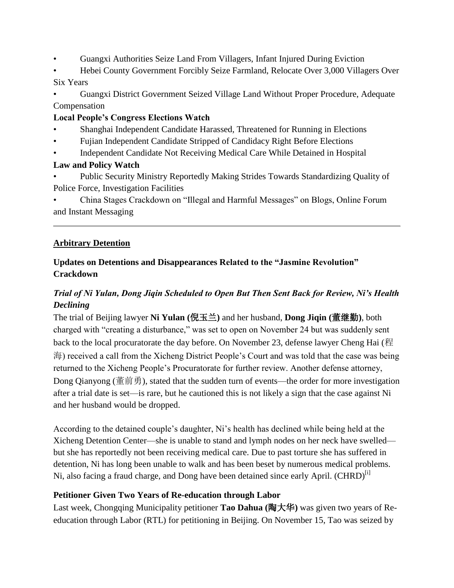- Guangxi Authorities Seize Land From Villagers, Infant Injured During Eviction
- Hebei County Government Forcibly Seize Farmland, Relocate Over 3,000 Villagers Over Six Years
- Guangxi District Government Seized Village Land Without Proper Procedure, Adequate Compensation

## **Local People's Congress Elections Watch**

- Shanghai Independent Candidate Harassed, Threatened for Running in Elections
- Fujian Independent Candidate Stripped of Candidacy Right Before Elections
- Independent Candidate Not Receiving Medical Care While Detained in Hospital

### **Law and Policy Watch**

• Public Security Ministry Reportedly Making Strides Towards Standardizing Quality of Police Force, Investigation Facilities

• China Stages Crackdown on "Illegal and Harmful Messages" on Blogs, Online Forum and Instant Messaging

## **Arbitrary Detention**

# **Updates on Detentions and Disappearances Related to the "Jasmine Revolution" Crackdown**

# *Trial of Ni Yulan, Dong Jiqin Scheduled to Open But Then Sent Back for Review, Ni's Health Declining*

The trial of Beijing lawyer **Ni Yulan (**倪玉兰**)** and her husband, **Dong Jiqin (**董继勤**)**, both charged with "creating a disturbance," was set to open on November 24 but was suddenly sent back to the local procuratorate the day before. On November 23, defense lawyer Cheng Hai (程 海) received a call from the Xicheng District People"s Court and was told that the case was being returned to the Xicheng People"s Procuratorate for further review. Another defense attorney, Dong Qianyong (董前勇), stated that the sudden turn of events—the order for more investigation after a trial date is set—is rare, but he cautioned this is not likely a sign that the case against Ni and her husband would be dropped.

According to the detained couple"s daughter, Ni"s health has declined while being held at the Xicheng Detention Center—she is unable to stand and lymph nodes on her neck have swelled but she has reportedly not been receiving medical care. Due to past torture she has suffered in detention, Ni has long been unable to walk and has been beset by numerous medical problems. Ni, also facing a fraud charge, and Dong have been detained since early April. (CHRD)<sup>[i]</sup>

# **Petitioner Given Two Years of Re-education through Labor**

Last week, Chongqing Municipality petitioner **Tao Dahua (**陶大华**)** was given two years of Reeducation through Labor (RTL) for petitioning in Beijing. On November 15, Tao was seized by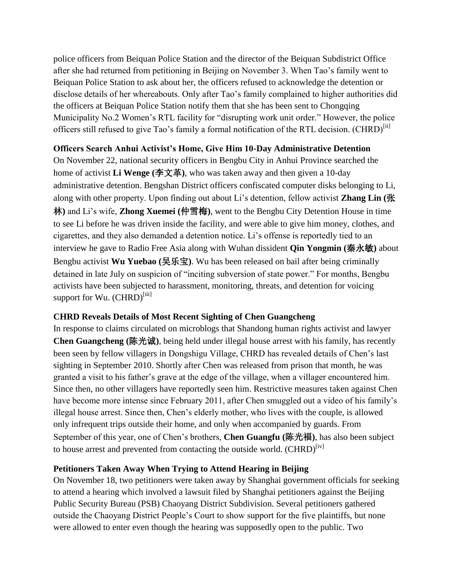police officers from Beiquan Police Station and the director of the Beiquan Subdistrict Office after she had returned from petitioning in Beijing on November 3. When Tao"s family went to Beiquan Police Station to ask about her, the officers refused to acknowledge the detention or disclose details of her whereabouts. Only after Tao"s family complained to higher authorities did the officers at Beiquan Police Station notify them that she has been sent to Chongqing Municipality No.2 Women"s RTL facility for "disrupting work unit order." However, the police officers still refused to give Tao's family a formal notification of the RTL decision. (CHRD)<sup>[ii]</sup>

#### **Officers Search Anhui Activist's Home, Give Him 10-Day Administrative Detention**

On November 22, national security officers in Bengbu City in Anhui Province searched the home of activist **Li Wenge (**李文革**)**, who was taken away and then given a 10-day administrative detention. Bengshan District officers confiscated computer disks belonging to Li, along with other property. Upon finding out about Li"s detention, fellow activist **Zhang Lin (**张 林**)** and Li"s wife, **Zhong Xuemei (**仲雪梅**)**, went to the Bengbu City Detention House in time to see Li before he was driven inside the facility, and were able to give him money, clothes, and cigarettes, and they also demanded a detention notice. Li"s offense is reportedly tied to an interview he gave to Radio Free Asia along with Wuhan dissident **Qin Yongmin (**秦永敏**)** about Bengbu activist **Wu Yuebao (**吴乐宝**)**. Wu has been released on bail after being criminally detained in late July on suspicion of "inciting subversion of state power." For months, Bengbu activists have been subjected to harassment, monitoring, threats, and detention for voicing support for Wu. (CHRD)<sup>[iii]</sup>

### **CHRD Reveals Details of Most Recent Sighting of Chen Guangcheng**

In response to claims circulated on microblogs that Shandong human rights activist and lawyer **Chen Guangcheng (**陈光诚**)**, being held under illegal house arrest with his family, has recently been seen by fellow villagers in Dongshigu Village, CHRD has revealed details of Chen"s last sighting in September 2010. Shortly after Chen was released from prison that month, he was granted a visit to his father"s grave at the edge of the village, when a villager encountered him. Since then, no other villagers have reportedly seen him. Restrictive measures taken against Chen have become more intense since February 2011, after Chen smuggled out a video of his family"s illegal house arrest. Since then, Chen"s elderly mother, who lives with the couple, is allowed only infrequent trips outside their home, and only when accompanied by guards. From September of this year, one of Chen"s brothers, **Chen Guangfu (**陈光福**)**, has also been subject to house arrest and prevented from contacting the outside world.  $(CHRD)^{[iv]}$ 

### **Petitioners Taken Away When Trying to Attend Hearing in Beijing**

On November 18, two petitioners were taken away by Shanghai government officials for seeking to attend a hearing which involved a lawsuit filed by Shanghai petitioners against the Beijing Public Security Bureau (PSB) Chaoyang District Subdivision. Several petitioners gathered outside the Chaoyang District People"s Court to show support for the five plaintiffs, but none were allowed to enter even though the hearing was supposedly open to the public. Two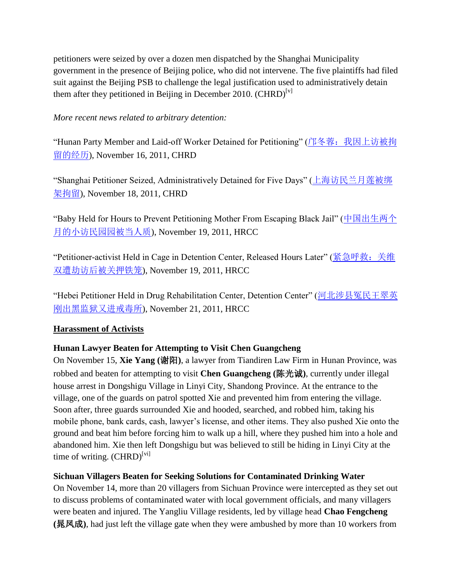petitioners were seized by over a dozen men dispatched by the Shanghai Municipality government in the presence of Beijing police, who did not intervene. The five plaintiffs had filed suit against the Beijing PSB to challenge the legal justification used to administratively detain them after they petitioned in Beijing in December 2010.  $(CHRD)^{[v]}$ 

### *More recent news related to arbitrary detention:*

"Hunan Party Member and Laid-off Worker Detained for Petitioning" ([邝冬蓉:我因上访被拘](http://wqw2010.blogspot.com/2011/11/blog-post_2025.html) [留的经历](http://wqw2010.blogspot.com/2011/11/blog-post_2025.html)), November 16, 2011, CHRD

"Shanghai Petitioner Seized, Administratively Detained for Five Days" ([上海访民兰月莲被绑](http://wqw2010.blogspot.com/2011/11/blog-post_8901.html) [架拘留](http://wqw2010.blogspot.com/2011/11/blog-post_8901.html)), November 18, 2011, CHRD

"Baby Held for Hours to Prevent Petitioning Mother From Escaping Black Jail" ([中国出生两个](http://rightscampaign.blogspot.com/2011/11/blog-post_249.html) [月的小访民园园被当人质](http://rightscampaign.blogspot.com/2011/11/blog-post_249.html)), November 19, 2011, HRCC

"Petitioner-activist Held in Cage in Detention Center, Released Hours Later" ([紧急呼救:关维](http://rightscampaign.blogspot.com/2011/11/blog-post_5450.html) [双遭劫访后被关押铁笼](http://rightscampaign.blogspot.com/2011/11/blog-post_5450.html)), November 19, 2011, HRCC

"Hebei Petitioner Held in Drug Rehabilitation Center, Detention Center" ([河北涉县冤民王翠英](http://rightscampaign.blogspot.com/2011/11/blog-post_8616.html) [刚出黑监狱又进戒毒所](http://rightscampaign.blogspot.com/2011/11/blog-post_8616.html)), November 21, 2011, HRCC

### **Harassment of Activists**

# **Hunan Lawyer Beaten for Attempting to Visit Chen Guangcheng**

On November 15, **Xie Yang (**谢阳**)**, a lawyer from Tiandiren Law Firm in Hunan Province, was robbed and beaten for attempting to visit **Chen Guangcheng (**陈光诚**)**, currently under illegal house arrest in Dongshigu Village in Linyi City, Shandong Province. At the entrance to the village, one of the guards on patrol spotted Xie and prevented him from entering the village. Soon after, three guards surrounded Xie and hooded, searched, and robbed him, taking his mobile phone, bank cards, cash, lawyer"s license, and other items. They also pushed Xie onto the ground and beat him before forcing him to walk up a hill, where they pushed him into a hole and abandoned him. Xie then left Dongshigu but was believed to still be hiding in Linyi City at the time of writing.  $(CHRD)^{[vi]}$ 

### **Sichuan Villagers Beaten for Seeking Solutions for Contaminated Drinking Water**

On November 14, more than 20 villagers from Sichuan Province were intercepted as they set out to discuss problems of contaminated water with local government officials, and many villagers were beaten and injured. The Yangliu Village residents, led by village head **Chao Fengcheng (**晁凤成**)**, had just left the village gate when they were ambushed by more than 10 workers from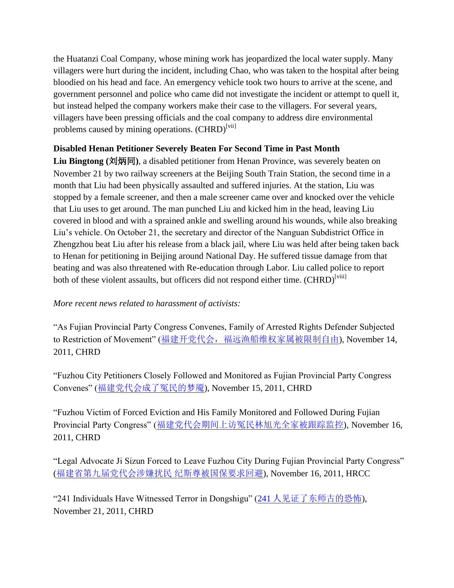the Huatanzi Coal Company, whose mining work has jeopardized the local water supply. Many villagers were hurt during the incident, including Chao, who was taken to the hospital after being bloodied on his head and face. An emergency vehicle took two hours to arrive at the scene, and government personnel and police who came did not investigate the incident or attempt to quell it, but instead helped the company workers make their case to the villagers. For several years, villagers have been pressing officials and the coal company to address dire environmental problems caused by mining operations.  $(CHRD)^{[\text{vii}]}$ 

## **Disabled Henan Petitioner Severely Beaten For Second Time in Past Month**

**Liu Bingtong (**刘炳同**)**, a disabled petitioner from Henan Province, was severely beaten on November 21 by two railway screeners at the Beijing South Train Station, the second time in a month that Liu had been physically assaulted and suffered injuries. At the station, Liu was stopped by a female screener, and then a male screener came over and knocked over the vehicle that Liu uses to get around. The man punched Liu and kicked him in the head, leaving Liu covered in blood and with a sprained ankle and swelling around his wounds, while also breaking Liu"s vehicle. On October 21, the secretary and director of the Nanguan Subdistrict Office in Zhengzhou beat Liu after his release from a black jail, where Liu was held after being taken back to Henan for petitioning in Beijing around National Day. He suffered tissue damage from that beating and was also threatened with Re-education through Labor. Liu called police to report both of these violent assaults, but officers did not respond either time. (CHRD)<sup>[viii]</sup>

# *More recent news related to harassment of activists:*

"As Fujian Provincial Party Congress Convenes, Family of Arrested Rights Defender Subjected to Restriction of Movement" ([福建开党代会,福远渔船维权家属被限制自由](http://wqw2010.blogspot.com/2011/11/blog-post_1600.html)), November 14, 2011, CHRD

"Fuzhou City Petitioners Closely Followed and Monitored as Fujian Provincial Party Congress Convenes" ([福建党代会成了冤民的梦魇](http://wqw2010.blogspot.com/2011/11/blog-post_474.html)), November 15, 2011, CHRD

"Fuzhou Victim of Forced Eviction and His Family Monitored and Followed During Fujian Provincial Party Congress" ([福建党代会期间上访冤民林旭光全家被跟踪监控](http://wqw2010.blogspot.com/2011/11/blog-post_2331.html)), November 16, 2011, CHRD

"Legal Advocate Ji Sizun Forced to Leave Fuzhou City During Fujian Provincial Party Congress" ([福建省第九届党代会涉嫌扰民](http://rightscampaign.blogspot.com/) 纪斯尊被国保要求回避), November 16, 2011, HRCC

"241 Individuals Have Witnessed Terror in Dongshigu" (241 [人见证了东师古的恐怖](http://wqw2010.blogspot.com/2011/11/241.html)), November 21, 2011, CHRD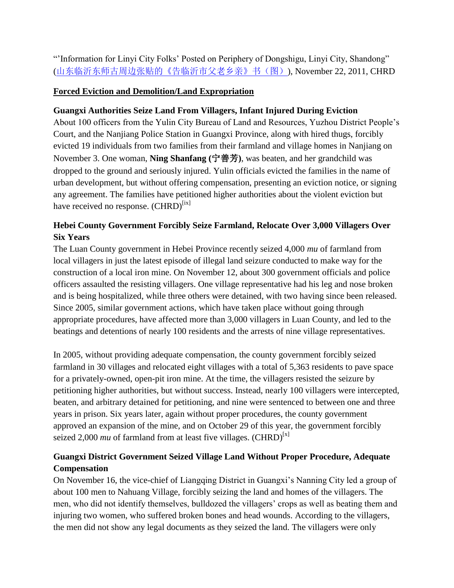""Information for Linyi City Folks" Posted on Periphery of Dongshigu, Linyi City, Shandong" ([山东临沂东师古周边张贴的《告临沂市父老乡亲》书\(图\)](http://wqw2010.blogspot.com/2011/11/blog-post_99.html)), November 22, 2011, CHRD

## **Forced Eviction and Demolition/Land Expropriation**

## **Guangxi Authorities Seize Land From Villagers, Infant Injured During Eviction**

About 100 officers from the Yulin City Bureau of Land and Resources, Yuzhou District People"s Court, and the Nanjiang Police Station in Guangxi Province, along with hired thugs, forcibly evicted 19 individuals from two families from their farmland and village homes in Nanjiang on November 3. One woman, **Ning Shanfang (**宁善芳**)**, was beaten, and her grandchild was dropped to the ground and seriously injured. Yulin officials evicted the families in the name of urban development, but without offering compensation, presenting an eviction notice, or signing any agreement. The families have petitioned higher authorities about the violent eviction but have received no response.  $(CHRD)^{[ix]}$ 

# **Hebei County Government Forcibly Seize Farmland, Relocate Over 3,000 Villagers Over Six Years**

The Luan County government in Hebei Province recently seized 4,000 *mu* of farmland from local villagers in just the latest episode of illegal land seizure conducted to make way for the construction of a local iron mine. On November 12, about 300 government officials and police officers assaulted the resisting villagers. One village representative had his leg and nose broken and is being hospitalized, while three others were detained, with two having since been released. Since 2005, similar government actions, which have taken place without going through appropriate procedures, have affected more than 3,000 villagers in Luan County, and led to the beatings and detentions of nearly 100 residents and the arrests of nine village representatives.

In 2005, without providing adequate compensation, the county government forcibly seized farmland in 30 villages and relocated eight villages with a total of 5,363 residents to pave space for a privately-owned, open-pit iron mine. At the time, the villagers resisted the seizure by petitioning higher authorities, but without success. Instead, nearly 100 villagers were intercepted, beaten, and arbitrary detained for petitioning, and nine were sentenced to between one and three years in prison. Six years later, again without proper procedures, the county government approved an expansion of the mine, and on October 29 of this year, the government forcibly seized 2,000  $mu$  of farmland from at least five villages. (CHRD)<sup>[x]</sup>

# **Guangxi District Government Seized Village Land Without Proper Procedure, Adequate Compensation**

On November 16, the vice-chief of Liangqing District in Guangxi"s Nanning City led a group of about 100 men to Nahuang Village, forcibly seizing the land and homes of the villagers. The men, who did not identify themselves, bulldozed the villagers' crops as well as beating them and injuring two women, who suffered broken bones and head wounds. According to the villagers, the men did not show any legal documents as they seized the land. The villagers were only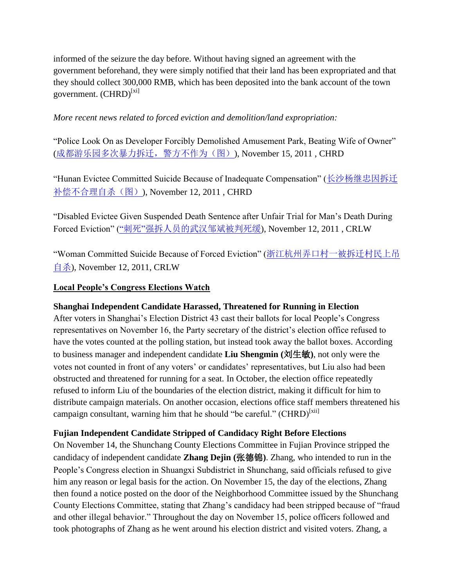informed of the seizure the day before. Without having signed an agreement with the government beforehand, they were simply notified that their land has been expropriated and that they should collect 300,000 RMB, which has been deposited into the bank account of the town government. (CHRD)<sup>[xi]</sup>

### *More recent news related to forced eviction and demolition/land expropriation:*

"Police Look On as Developer Forcibly Demolished Amusement Park, Beating Wife of Owner" ([成都游乐园多次暴力拆迁,警方不作为\(图\)](http://wqw2010.blogspot.com/2011/11/blog-post_9752.html)), November 15, 2011 , CHRD

"Hunan Evictee Committed Suicide Because of Inadequate Compensation" ([长沙杨继忠因拆迁](http://wqw2010.blogspot.com/2011/11/blog-post_6796.html) [补偿不合理自杀\(图\)](http://wqw2010.blogspot.com/2011/11/blog-post_6796.html)), November 12, 2011, CHRD

"Disabled Evictee Given Suspended Death Sentence after Unfair Trial for Man"s Death During Forced Eviction" ("刺死"[强拆人员的武汉邹斌被判死缓](http://www.msguancha.com/Article/ShowArticle.asp?ArticleID=14759)), November 12, 2011 , CRLW

"Woman Committed Suicide Because of Forced Eviction" ([浙江杭州弄口村一被拆迁村民上吊](http://www.msguancha.com/Article/ShowArticle.asp?ArticleID=14758)  $\underline{\hat{H}}\hat{\mathcal{H}}$ ), November 12, 2011, CRLW

### **Local People's Congress Elections Watch**

### **Shanghai Independent Candidate Harassed, Threatened for Running in Election**

After voters in Shanghai"s Election District 43 cast their ballots for local People"s Congress representatives on November 16, the Party secretary of the district's election office refused to have the votes counted at the polling station, but instead took away the ballot boxes. According to business manager and independent candidate **Liu Shengmin (**刘生敏**)**, not only were the votes not counted in front of any voters' or candidates' representatives, but Liu also had been obstructed and threatened for running for a seat. In October, the election office repeatedly refused to inform Liu of the boundaries of the election district, making it difficult for him to distribute campaign materials. On another occasion, elections office staff members threatened his campaign consultant, warning him that he should "be careful."  $(CHRD)^{[xii]}$ 

### **Fujian Independent Candidate Stripped of Candidacy Right Before Elections**

On November 14, the Shunchang County Elections Committee in Fujian Province stripped the candidacy of independent candidate **Zhang Dejin (**张德锦**)**. Zhang, who intended to run in the People"s Congress election in Shuangxi Subdistrict in Shunchang, said officials refused to give him any reason or legal basis for the action. On November 15, the day of the elections, Zhang then found a notice posted on the door of the Neighborhood Committee issued by the Shunchang County Elections Committee, stating that Zhang"s candidacy had been stripped because of "fraud and other illegal behavior." Throughout the day on November 15, police officers followed and took photographs of Zhang as he went around his election district and visited voters. Zhang, a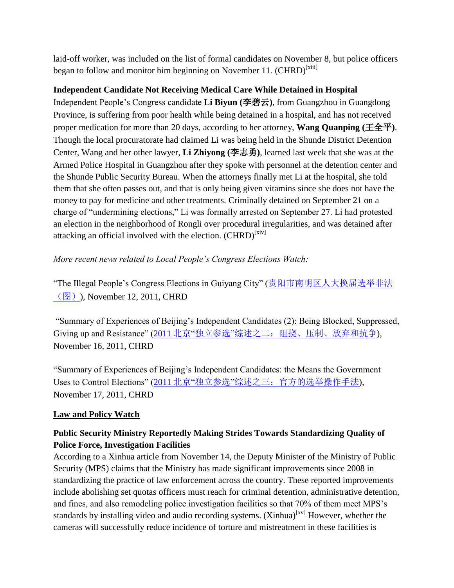laid-off worker, was included on the list of formal candidates on November 8, but police officers began to follow and monitor him beginning on November 11.  $(CHRD)^{[xiii]}$ 

# **Independent Candidate Not Receiving Medical Care While Detained in Hospital**

Independent People"s Congress candidate **Li Biyun (**李碧云**)**, from Guangzhou in Guangdong Province, is suffering from poor health while being detained in a hospital, and has not received proper medication for more than 20 days, according to her attorney, **Wang Quanping** ( $\pm \pm \mp$ ). Though the local procuratorate had claimed Li was being held in the Shunde District Detention Center, Wang and her other lawyer, **Li Zhiyong (**李志勇**)**, learned last week that she was at the Armed Police Hospital in Guangzhou after they spoke with personnel at the detention center and the Shunde Public Security Bureau. When the attorneys finally met Li at the hospital, she told them that she often passes out, and that is only being given vitamins since she does not have the money to pay for medicine and other treatments. Criminally detained on September 21 on a charge of "undermining elections," Li was formally arrested on September 27. Li had protested an election in the neighborhood of Rongli over procedural irregularities, and was detained after attacking an official involved with the election. (CHRD)<sup>[xiv]</sup>

# *More recent news related to Local People's Congress Elections Watch:*

"The Illegal People"s Congress Elections in Guiyang City" ([贵阳市南明区人大换届选举非法](http://wqw2010.blogspot.com/2011/11/blog-post_1442.html) [\(图\)](http://wqw2010.blogspot.com/2011/11/blog-post_1442.html)), November 12, 2011, CHRD

"Summary of Experiences of Beijing"s Independent Candidates (2): Being Blocked, Suppressed, Giving up and Resistance" (2011 北京"独立参选"[综述之二:阻挠、压制、放弃和抗争](http://wqw2010.blogspot.com/2011/11/2011_16.html)), November 16, 2011, CHRD

"Summary of Experiences of Beijing"s Independent Candidates: the Means the Government Uses to Control Elections" (2011 北京"独立参选"[综述之三:官方的选举操作手法](http://wqw2010.blogspot.com/2011/11/2011_17.html)), November 17, 2011, CHRD

# **Law and Policy Watch**

# **Public Security Ministry Reportedly Making Strides Towards Standardizing Quality of Police Force, Investigation Facilities**

According to a Xinhua article from November 14, the Deputy Minister of the Ministry of Public Security (MPS) claims that the Ministry has made significant improvements since 2008 in standardizing the practice of law enforcement across the country. These reported improvements include abolishing set quotas officers must reach for criminal detention, administrative detention, and fines, and also remodeling police investigation facilities so that 70% of them meet MPS"s standards by installing video and audio recording systems. (Xinhua)<sup>[xv]</sup> However, whether the cameras will successfully reduce incidence of torture and mistreatment in these facilities is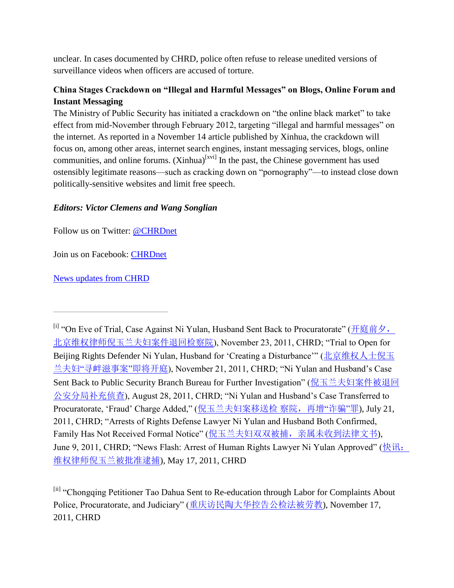unclear. In cases documented by CHRD, police often refuse to release unedited versions of surveillance videos when officers are accused of torture.

# **China Stages Crackdown on "Illegal and Harmful Messages" on Blogs, Online Forum and Instant Messaging**

The Ministry of Public Security has initiated a crackdown on "the online black market" to take effect from mid-November through February 2012, targeting "illegal and harmful messages" on the internet. As reported in a November 14 article published by Xinhua, the crackdown will focus on, among other areas, internet search engines, instant messaging services, blogs, online communities, and online forums. (Xinhua)<sup>[xvi]</sup> In the past, the Chinese government has used ostensibly legitimate reasons—such as cracking down on "pornography"—to instead close down politically-sensitive websites and limit free speech.

# *Editors: Victor Clemens and Wang Songlian*

Follow us on Twitter: [@CHRDnet](http://twitter.com/#%21/CHRDnet)

Join us on Facebook: [CHRDnet](http://www.facebook.com/pages/CHRDnet/222910954409129?ref=ts)

[News updates from CHRD](http://www.chrdnet.com/)

[ii] "Chongqing Petitioner Tao Dahua Sent to Re-education through Labor for Complaints About Police, Procuratorate, and Judiciary" ([重庆访民陶大华控告公检法被劳教](http://wqw2010.blogspot.com/2011/11/blog-post_4296.html)), November 17, 2011, CHRD

<sup>[</sup>i] "On Eve of Trial, Case Against Ni Yulan, Husband Sent Back to Procuratorate" ([开庭前夕,](http://wqw2010.blogspot.com/2011/11/blog-post_5410.html) [北京维权律师倪玉兰夫妇案件退回检察院](http://wqw2010.blogspot.com/2011/11/blog-post_5410.html)), November 23, 2011, CHRD; "Trial to Open for Beijing Rights Defender Ni Yulan, Husband for 'Creating a Disturbance'" ([北京维权人士倪玉](http://wqw2010.blogspot.com/2011/11/blog-post_4150.html) 兰夫妇"[寻衅滋事案](http://wqw2010.blogspot.com/2011/11/blog-post_4150.html)"即将开庭), November 21, 2011, CHRD; "Ni Yulan and Husband's Case Sent Back to Public Security Branch Bureau for Further Investigation" ([倪玉兰夫妇案件被退回](http://wqw2010.blogspot.com/2011/08/blog-post_753.html) [公安分局补充侦查](http://wqw2010.blogspot.com/2011/08/blog-post_753.html)), August 28, 2011, CHRD; "Ni Yulan and Husband"s Case Transferred to Procuratorate, 'Fraud' Charge Added," ([倪玉兰夫妇案移送检](http://wqw2010.blogspot.com/2011/07/blog-post_8706.html) 察院, 再增"诈骗"罪), July 21, 2011, CHRD; "Arrests of Rights Defense Lawyer Ni Yulan and Husband Both Confirmed, Family Has Not Received Formal Notice" ([倪玉兰夫妇双双被捕,亲属未收到法律文书](http://wqw2010.blogspot.com/2011/06/blog-post_09.html)), June 9, 2011, CHRD; "News Flash: Arrest of Human Rights Lawyer Ni Yulan Approved" ([快讯:](http://wqw2010.blogspot.com/2011/05/blog-post_4735.html) [维权律师倪玉兰被批准逮捕](http://wqw2010.blogspot.com/2011/05/blog-post_4735.html)), May 17, 2011, CHRD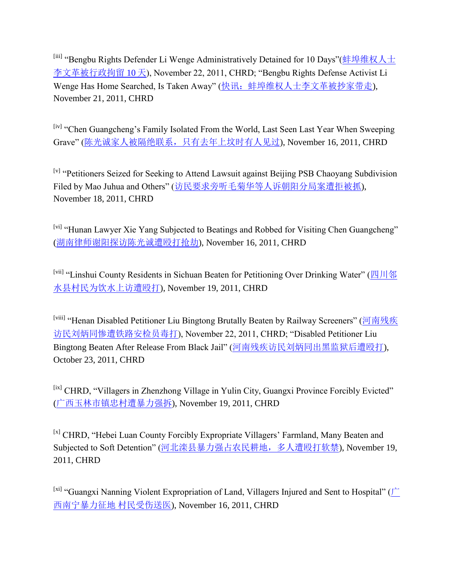<sup>[iii]</sup> "Bengbu Rights Defender Li Wenge Administratively Detained for 10 Days"([蚌埠维权人士](http://wqw2010.blogspot.com/2011/11/10_22.html) [李文革被行政拘留](http://wqw2010.blogspot.com/2011/11/10_22.html) 10 天), November 22, 2011, CHRD; "Bengbu Rights Defense Activist Li Wenge Has Home Searched, Is Taken Away" (快讯: 蚌埠维权人士李文革被抄家带走), November 21, 2011, CHRD

[iv] "Chen Guangcheng"s Family Isolated From the World, Last Seen Last Year When Sweeping Grave" ([陈光诚家人被隔绝联系,只有去年上坟时有人见过](http://wqw2010.blogspot.com/2011/11/3cdiv20dir3d22ltr2220style3d22text.html)), November 16, 2011, CHRD

[v] "Petitioners Seized for Seeking to Attend Lawsuit against Beijing PSB Chaoyang Subdivision Filed by Mao Juhua and Others" ([访民要求旁听毛菊华等人诉朝阳分局案遭拒被抓](http://wqw2010.blogspot.com/2011/11/blog-post_618.html)), November 18, 2011, CHRD

[vi] "Hunan Lawyer Xie Yang Subjected to Beatings and Robbed for Visiting Chen Guangcheng" ([湖南律师谢阳探访陈光诚遭殴打抢劫](http://wqw2010.blogspot.com/2011/11/blog-post_16.html)), November 16, 2011, CHRD

<sup>[vii]</sup> "Linshui County Residents in Sichuan Beaten for Petitioning Over Drinking Water" ([四川邻](http://wqw2010.blogspot.com/2011/11/blog-post_9826.html) [水县村民为饮水上访遭殴打](http://wqw2010.blogspot.com/2011/11/blog-post_9826.html)), November 19, 2011, CHRD

[viii] "Henan Disabled Petitioner Liu Bingtong Brutally Beaten by Railway Screeners" ([河南残疾](http://wqw2010.blogspot.com/2011/11/blog-post_6836.html) [访民刘炳同惨遭铁路安检员毒打](http://wqw2010.blogspot.com/2011/11/blog-post_6836.html)), November 22, 2011, CHRD; "Disabled Petitioner Liu Bingtong Beaten After Release From Black Jail" ([河南残疾访民刘炳同出黑监狱后遭殴打](http://wqw2010.blogspot.com/2011/10/blog-post_9127.html)), October 23, 2011, CHRD

<sup>[ix]</sup> CHRD, "Villagers in Zhenzhong Village in Yulin City, Guangxi Province Forcibly Evicted" ([广西玉林市镇忠村遭暴力强拆](http://wqw2010.blogspot.com/2011/11/blog-post_6835.html)), November 19, 2011, CHRD

<sup>[x]</sup> CHRD, "Hebei Luan County Forcibly Expropriate Villagers' Farmland, Many Beaten and Subjected to Soft Detention" ([河北滦县暴力强占农民耕地,多人遭殴打软禁](http://wqw2010.blogspot.com/2011/11/blog-post_9317.html)), November 19, 2011, CHRD

[xi] "Guangxi Nanning Violent Expropriation of Land, Villagers Injured and Sent to Hospital"  $(\Gamma)$ [西南宁暴力征地](http://wqw2010.blogspot.com/2011/11/blog-post_5188.html) 村民受伤送医), November 16, 2011, CHRD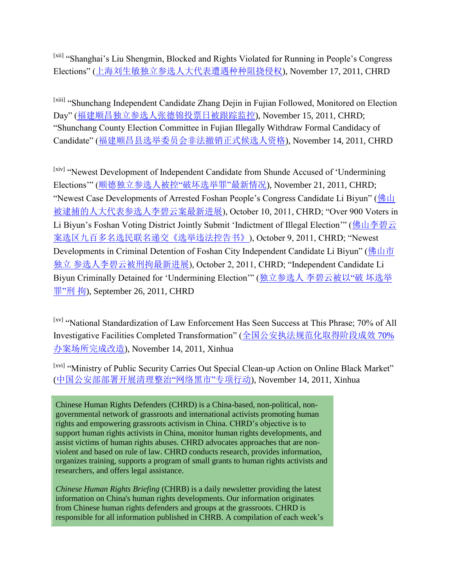[xii] "Shanghai's Liu Shengmin, Blocked and Rights Violated for Running in People's Congress Elections" ([上海刘生敏独立参选人大代表遭遇种种阻挠侵权](http://wqw2010.blogspot.com/2011/11/blog-post_9529.html)), November 17, 2011, CHRD

[xiii] "Shunchang Independent Candidate Zhang Dejin in Fujian Followed, Monitored on Election Day" ([福建顺昌独立参选人张德锦投票日被跟踪监控](http://wqw2010.blogspot.com/2011/11/blog-post_4061.html)), November 15, 2011, CHRD; "Shunchang County Election Committee in Fujian Illegally Withdraw Formal Candidacy of Candidate" ([福建顺昌县选举委员会非法撤销正式候选人资格](http://wqw2010.blogspot.com/2011/11/2011_14.html)), November 14, 2011, CHRD

[xiv] "Newest Development of Independent Candidate from Shunde Accused of 'Undermining Elections"" ([顺德独立参选人被控](http://wqw2010.blogspot.com/2011/11/blog-post_5175.html)"破坏选举罪"最新情况), November 21, 2011, CHRD; "Newest Case Developments of Arrested Foshan People's Congress Candidate Li Biyun" ([佛山](http://wqw2010.blogspot.com/2011/10/blog-post_525.html) [被逮捕的人大代表参选人李碧云案最新进展](http://wqw2010.blogspot.com/2011/10/blog-post_525.html)), October 10, 2011, CHRD; "Over 900 Voters in Li Biyun's Foshan Voting District Jointly Submit 'Indictment of Illegal Election'" ([佛山李碧云](http://wqw2010.blogspot.com/2011/10/blog-post_2347.html) [案选区九百多名选民联名递交《选举违法控告书》](http://wqw2010.blogspot.com/2011/10/blog-post_2347.html)), October 9, 2011, CHRD; "Newest Developments in Criminal Detention of Foshan City Independent Candidate Li Biyun" ([佛山市](http://wqw2010.blogspot.com/2011/10/blog-post_1238.html) 独立 [参选人李碧云被刑拘最新进展](http://wqw2010.blogspot.com/2011/10/blog-post_1238.html)), October 2, 2011, CHRD; "Independent Candidate Li Biyun Criminally Detained for "Undermining Election"" (独立参选人 [李碧云被以](http://wqw2010.blogspot.com/2011/09/blog-post_1995.html)"破 坏选举 [罪](http://wqw2010.blogspot.com/2011/09/blog-post_1995.html)"刑 拘), September 26, 2011, CHRD

[xv] "National Standardization of Law Enforcement Has Seen Success at This Phrase; 70% of All Investigative Facilities Completed Transformation" ([全国公安执法规范化取得阶段成效](http://news.xinhuanet.com/legal/2011-11/14/c_122276434.htm) 70% [办案场所完成改造](http://news.xinhuanet.com/legal/2011-11/14/c_122276434.htm)), November 14, 2011, Xinhua

[xvi] "Ministry of Public Security Carries Out Special Clean-up Action on Online Black Market" ([中国公安部部署开展清理整治](http://news.xinhuanet.com/2011-11/14/c_111166673.htm)"网络黑市"专项行动), November 14, 2011, Xinhua

Chinese Human Rights Defenders (CHRD) is a China-based, non-political, nongovernmental network of grassroots and international activists promoting human rights and empowering grassroots activism in China. CHRD"s objective is to support human rights activists in China, monitor human rights developments, and assist victims of human rights abuses. CHRD advocates approaches that are nonviolent and based on rule of law. CHRD conducts research, provides information, organizes training, supports a program of small grants to human rights activists and researchers, and offers legal assistance.

*Chinese Human Rights Briefing* (CHRB) is a daily newsletter providing the latest information on China's human rights developments. Our information originates from Chinese human rights defenders and groups at the grassroots. CHRD is responsible for all information published in CHRB. A compilation of each week"s